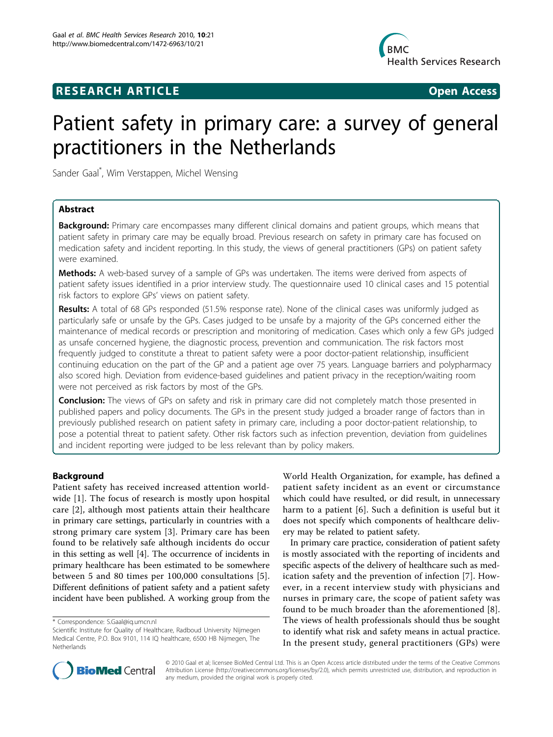## RESEARCH ARTICLE **External of the Contract Contract Contract Contract Contract Contract Contract Contract Contract Contract Contract Contract Contract Contract Contract Contract Contract Contract Contract Contract Contract**



# Patient safety in primary care: a survey of general practitioners in the Netherlands

Sander Gaal\* , Wim Verstappen, Michel Wensing

## Abstract

**Background:** Primary care encompasses many different clinical domains and patient groups, which means that patient safety in primary care may be equally broad. Previous research on safety in primary care has focused on medication safety and incident reporting. In this study, the views of general practitioners (GPs) on patient safety were examined.

Methods: A web-based survey of a sample of GPs was undertaken. The items were derived from aspects of patient safety issues identified in a prior interview study. The questionnaire used 10 clinical cases and 15 potential risk factors to explore GPs' views on patient safety.

Results: A total of 68 GPs responded (51.5% response rate). None of the clinical cases was uniformly judged as particularly safe or unsafe by the GPs. Cases judged to be unsafe by a majority of the GPs concerned either the maintenance of medical records or prescription and monitoring of medication. Cases which only a few GPs judged as unsafe concerned hygiene, the diagnostic process, prevention and communication. The risk factors most frequently judged to constitute a threat to patient safety were a poor doctor-patient relationship, insufficient continuing education on the part of the GP and a patient age over 75 years. Language barriers and polypharmacy also scored high. Deviation from evidence-based guidelines and patient privacy in the reception/waiting room were not perceived as risk factors by most of the GPs.

**Conclusion:** The views of GPs on safety and risk in primary care did not completely match those presented in published papers and policy documents. The GPs in the present study judged a broader range of factors than in previously published research on patient safety in primary care, including a poor doctor-patient relationship, to pose a potential threat to patient safety. Other risk factors such as infection prevention, deviation from guidelines and incident reporting were judged to be less relevant than by policy makers.

## Background

Patient safety has received increased attention worldwide [[1\]](#page-6-0). The focus of research is mostly upon hospital care [[2\]](#page-6-0), although most patients attain their healthcare in primary care settings, particularly in countries with a strong primary care system [[3\]](#page-6-0). Primary care has been found to be relatively safe although incidents do occur in this setting as well [\[4](#page-6-0)]. The occurrence of incidents in primary healthcare has been estimated to be somewhere between 5 and 80 times per 100,000 consultations [[5](#page-6-0)]. Different definitions of patient safety and a patient safety incident have been published. A working group from the

World Health Organization, for example, has defined a patient safety incident as an event or circumstance which could have resulted, or did result, in unnecessary harm to a patient [\[6](#page-6-0)]. Such a definition is useful but it does not specify which components of healthcare delivery may be related to patient safety.

In primary care practice, consideration of patient safety is mostly associated with the reporting of incidents and specific aspects of the delivery of healthcare such as medication safety and the prevention of infection [\[7](#page-6-0)]. However, in a recent interview study with physicians and nurses in primary care, the scope of patient safety was found to be much broader than the aforementioned [[8](#page-6-0)]. The views of health professionals should thus be sought to identify what risk and safety means in actual practice. In the present study, general practitioners (GPs) were



© 2010 Gaal et al; licensee BioMed Central Ltd. This is an Open Access article distributed under the terms of the Creative Commons Attribution License [\(http://creativecommons.org/licenses/by/2.0](http://creativecommons.org/licenses/by/2.0)), which permits unrestricted use, distribution, and reproduction in any medium, provided the original work is properly cited.

<sup>\*</sup> Correspondence: [S.Gaal@iq.umcn.nl](mailto:S.Gaal@iq.umcn.nl)

Scientific Institute for Quality of Healthcare, Radboud University Nijmegen Medical Centre, P.O. Box 9101, 114 IQ healthcare, 6500 HB Nijmegen, The **Netherlands**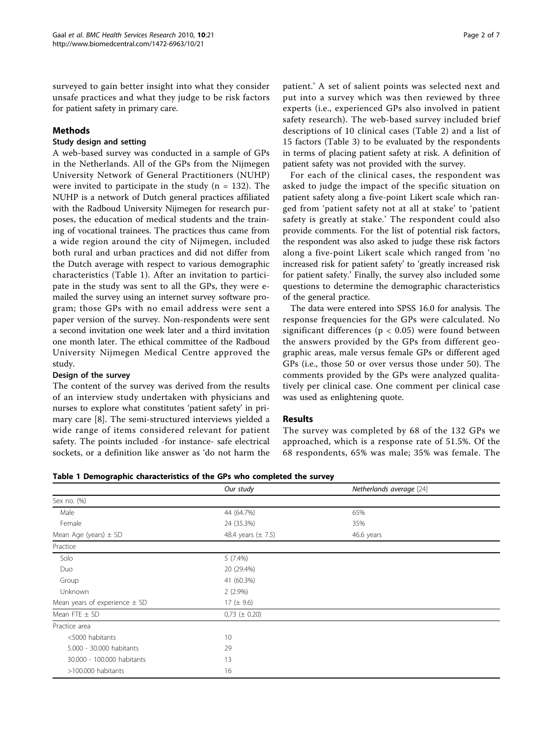<span id="page-1-0"></span>surveyed to gain better insight into what they consider unsafe practices and what they judge to be risk factors for patient safety in primary care.

## Methods

## Study design and setting

A web-based survey was conducted in a sample of GPs in the Netherlands. All of the GPs from the Nijmegen University Network of General Practitioners (NUHP) were invited to participate in the study  $(n = 132)$ . The NUHP is a network of Dutch general practices affiliated with the Radboud University Nijmegen for research purposes, the education of medical students and the training of vocational trainees. The practices thus came from a wide region around the city of Nijmegen, included both rural and urban practices and did not differ from the Dutch average with respect to various demographic characteristics (Table 1). After an invitation to participate in the study was sent to all the GPs, they were emailed the survey using an internet survey software program; those GPs with no email address were sent a paper version of the survey. Non-respondents were sent a second invitation one week later and a third invitation one month later. The ethical committee of the Radboud University Nijmegen Medical Centre approved the study.

## Design of the survey

The content of the survey was derived from the results of an interview study undertaken with physicians and nurses to explore what constitutes 'patient safety' in primary care [[8\]](#page-6-0). The semi-structured interviews yielded a wide range of items considered relevant for patient safety. The points included -for instance- safe electrical sockets, or a definition like answer as 'do not harm the

patient.' A set of salient points was selected next and put into a survey which was then reviewed by three experts (i.e., experienced GPs also involved in patient safety research). The web-based survey included brief descriptions of 10 clinical cases (Table [2](#page-2-0)) and a list of 15 factors (Table [3\)](#page-2-0) to be evaluated by the respondents in terms of placing patient safety at risk. A definition of patient safety was not provided with the survey.

For each of the clinical cases, the respondent was asked to judge the impact of the specific situation on patient safety along a five-point Likert scale which ranged from 'patient safety not at all at stake' to 'patient safety is greatly at stake.' The respondent could also provide comments. For the list of potential risk factors, the respondent was also asked to judge these risk factors along a five-point Likert scale which ranged from 'no increased risk for patient safety' to 'greatly increased risk for patient safety.' Finally, the survey also included some questions to determine the demographic characteristics of the general practice.

The data were entered into SPSS 16.0 for analysis. The response frequencies for the GPs were calculated. No significant differences ( $p < 0.05$ ) were found between the answers provided by the GPs from different geographic areas, male versus female GPs or different aged GPs (i.e., those 50 or over versus those under 50). The comments provided by the GPs were analyzed qualitatively per clinical case. One comment per clinical case was used as enlightening quote.

## Results

The survey was completed by 68 of the 132 GPs we approached, which is a response rate of 51.5%. Of the 68 respondents, 65% was male; 35% was female. The

Table 1 Demographic characteristics of the GPs who completed the survey

|                                   | Our study              | Netherlands average [24] |  |  |
|-----------------------------------|------------------------|--------------------------|--|--|
| Sex no. (%)                       |                        |                          |  |  |
| Male                              | 44 (64.7%)             | 65%                      |  |  |
| Female                            | 24 (35.3%)             | 35%                      |  |  |
| Mean Age (years) $\pm$ SD         | 48.4 years $(\pm 7.5)$ | 46.6 years               |  |  |
| Practice                          |                        |                          |  |  |
| Solo                              | 5 (7.4%)               |                          |  |  |
| Duo                               | 20 (29.4%)             |                          |  |  |
| Group                             | 41 (60.3%)             |                          |  |  |
| Unknown                           | $2(2.9\%)$             |                          |  |  |
| Mean years of experience $\pm$ SD | 17 ( $\pm$ 9.6)        |                          |  |  |
| Mean FTE $\pm$ SD                 | $0,73 \ (\pm 0.20)$    |                          |  |  |
| Practice area                     |                        |                          |  |  |
| <5000 habitants                   | 10                     |                          |  |  |
| 5.000 - 30.000 habitants          | 29                     |                          |  |  |
| 30,000 - 100,000 habitants        | 13                     |                          |  |  |
| >100.000 habitants                | 16                     |                          |  |  |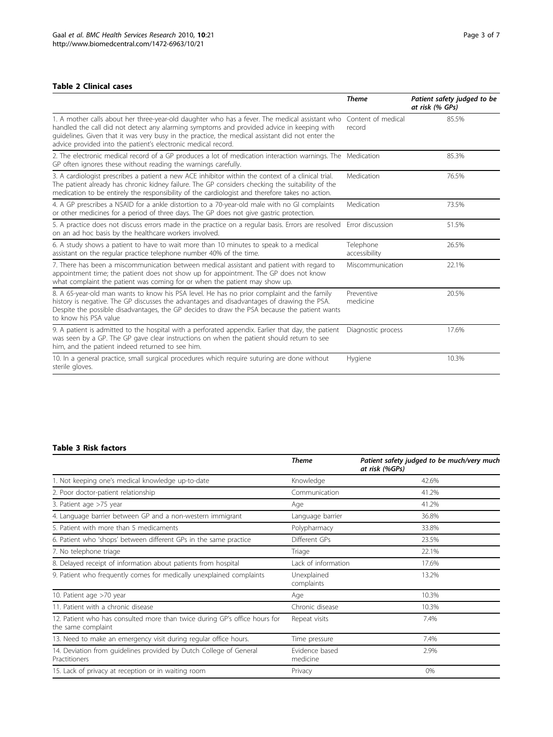## <span id="page-2-0"></span>Table 2 Clinical cases

|                                                                                                                                                                                                                                                                                                                                                                  | <b>Theme</b>                 | Patient safety judged to be<br>at risk (% GPs) |
|------------------------------------------------------------------------------------------------------------------------------------------------------------------------------------------------------------------------------------------------------------------------------------------------------------------------------------------------------------------|------------------------------|------------------------------------------------|
| 1. A mother calls about her three-year-old daughter who has a fever. The medical assistant who<br>handled the call did not detect any alarming symptoms and provided advice in keeping with<br>guidelines. Given that it was very busy in the practice, the medical assistant did not enter the<br>advice provided into the patient's electronic medical record. | Content of medical<br>record | 85.5%                                          |
| 2. The electronic medical record of a GP produces a lot of medication interaction warnings. The Medication<br>GP often ignores these without reading the warnings carefully.                                                                                                                                                                                     |                              | 85.3%                                          |
| 3. A cardiologist prescribes a patient a new ACE inhibitor within the context of a clinical trial.<br>The patient already has chronic kidney failure. The GP considers checking the suitability of the<br>medication to be entirely the responsibility of the cardiologist and therefore takes no action.                                                        | Medication                   | 76.5%                                          |
| 4. A GP prescribes a NSAID for a ankle distortion to a 70-year-old male with no GI complaints<br>or other medicines for a period of three days. The GP does not give gastric protection.                                                                                                                                                                         | Medication                   | 73.5%                                          |
| 5. A practice does not discuss errors made in the practice on a regular basis. Errors are resolved<br>on an ad hoc basis by the healthcare workers involved.                                                                                                                                                                                                     | Error discussion             | 51.5%                                          |
| 6. A study shows a patient to have to wait more than 10 minutes to speak to a medical<br>assistant on the regular practice telephone number 40% of the time.                                                                                                                                                                                                     | Telephone<br>accessibility   | 26.5%                                          |
| 7. There has been a miscommunication between medical assistant and patient with regard to<br>appointment time; the patient does not show up for appointment. The GP does not know<br>what complaint the patient was coming for or when the patient may show up.                                                                                                  | Miscommunication             | 22.1%                                          |
| 8. A 65-year-old man wants to know his PSA level. He has no prior complaint and the family<br>history is negative. The GP discusses the advantages and disadvantages of drawing the PSA.<br>Despite the possible disadvantages, the GP decides to draw the PSA because the patient wants<br>to know his PSA value                                                | Preventive<br>medicine       | 20.5%                                          |
| 9. A patient is admitted to the hospital with a perforated appendix. Earlier that day, the patient<br>was seen by a GP. The GP gave clear instructions on when the patient should return to see<br>him, and the patient indeed returned to see him.                                                                                                              | Diagnostic process           | 17.6%                                          |
| 10. In a general practice, small surgical procedures which require suturing are done without<br>sterile gloves.                                                                                                                                                                                                                                                  | Hygiene                      | 10.3%                                          |

## Table 3 Risk factors

|                                                                                                  | <b>Theme</b>               | Patient safety judged to be much/very much<br>at risk (%GPs) |
|--------------------------------------------------------------------------------------------------|----------------------------|--------------------------------------------------------------|
| 1. Not keeping one's medical knowledge up-to-date                                                | Knowledge                  | 42.6%                                                        |
| 2. Poor doctor-patient relationship                                                              | Communication              | 41.2%                                                        |
| 3. Patient age >75 year                                                                          | Age                        | 41.2%                                                        |
| 4. Language barrier between GP and a non-western immigrant                                       | Language barrier           | 36.8%                                                        |
| 5. Patient with more than 5 medicaments                                                          | Polypharmacy               | 33.8%                                                        |
| 6. Patient who 'shops' between different GPs in the same practice                                | Different GPs              | 23.5%                                                        |
| 7. No telephone triage                                                                           | Triage                     | 22.1%                                                        |
| 8. Delayed receipt of information about patients from hospital                                   | Lack of information        | 17.6%                                                        |
| 9. Patient who frequently comes for medically unexplained complaints                             | Unexplained<br>complaints  | 13.2%                                                        |
| 10. Patient age >70 year                                                                         | Age                        | 10.3%                                                        |
| 11. Patient with a chronic disease                                                               | Chronic disease            | 10.3%                                                        |
| 12. Patient who has consulted more than twice during GP's office hours for<br>the same complaint | Repeat visits              | 7.4%                                                         |
| 13. Need to make an emergency visit during regular office hours.                                 | Time pressure              | 7.4%                                                         |
| 14. Deviation from quidelines provided by Dutch College of General<br>Practitioners              | Evidence based<br>medicine | 2.9%                                                         |
| 15. Lack of privacy at reception or in waiting room                                              | Privacy                    | 0%                                                           |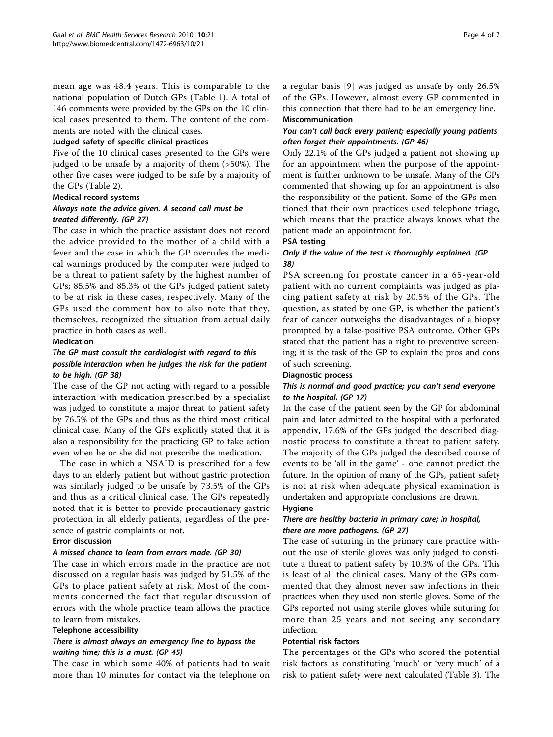mean age was 48.4 years. This is comparable to the national population of Dutch GPs (Table [1](#page-1-0)). A total of 146 comments were provided by the GPs on the 10 clinical cases presented to them. The content of the comments are noted with the clinical cases.

#### Judged safety of specific clinical practices

Five of the 10 clinical cases presented to the GPs were judged to be unsafe by a majority of them (>50%). The other five cases were judged to be safe by a majority of the GPs (Table [2\)](#page-2-0).

#### Medical record systems

## Always note the advice given. A second call must be treated differently. (GP 27)

The case in which the practice assistant does not record the advice provided to the mother of a child with a fever and the case in which the GP overrules the medical warnings produced by the computer were judged to be a threat to patient safety by the highest number of GPs; 85.5% and 85.3% of the GPs judged patient safety to be at risk in these cases, respectively. Many of the GPs used the comment box to also note that they, themselves, recognized the situation from actual daily practice in both cases as well.

#### Medication

## The GP must consult the cardiologist with regard to this possible interaction when he judges the risk for the patient to be high. (GP 38)

The case of the GP not acting with regard to a possible interaction with medication prescribed by a specialist was judged to constitute a major threat to patient safety by 76.5% of the GPs and thus as the third most critical clinical case. Many of the GPs explicitly stated that it is also a responsibility for the practicing GP to take action even when he or she did not prescribe the medication.

The case in which a NSAID is prescribed for a few days to an elderly patient but without gastric protection was similarly judged to be unsafe by 73.5% of the GPs and thus as a critical clinical case. The GPs repeatedly noted that it is better to provide precautionary gastric protection in all elderly patients, regardless of the presence of gastric complaints or not.

## Error discussion

## A missed chance to learn from errors made. (GP 30)

The case in which errors made in the practice are not discussed on a regular basis was judged by 51.5% of the GPs to place patient safety at risk. Most of the comments concerned the fact that regular discussion of errors with the whole practice team allows the practice to learn from mistakes.

#### Telephone accessibility

## There is almost always an emergency line to bypass the waiting time; this is a must. (GP 45)

The case in which some 40% of patients had to wait more than 10 minutes for contact via the telephone on a regular basis [[9\]](#page-6-0) was judged as unsafe by only 26.5% of the GPs. However, almost every GP commented in this connection that there had to be an emergency line. Miscommunication

## You can't call back every patient; especially young patients often forget their appointments. (GP 46)

Only 22.1% of the GPs judged a patient not showing up for an appointment when the purpose of the appointment is further unknown to be unsafe. Many of the GPs commented that showing up for an appointment is also the responsibility of the patient. Some of the GPs mentioned that their own practices used telephone triage, which means that the practice always knows what the patient made an appointment for.

#### PSA testing

## Only if the value of the test is thoroughly explained. (GP 38)

PSA screening for prostate cancer in a 65-year-old patient with no current complaints was judged as placing patient safety at risk by 20.5% of the GPs. The question, as stated by one GP, is whether the patient's fear of cancer outweighs the disadvantages of a biopsy prompted by a false-positive PSA outcome. Other GPs stated that the patient has a right to preventive screening; it is the task of the GP to explain the pros and cons of such screening.

#### Diagnostic process

## This is normal and good practice; you can't send everyone to the hospital. (GP 17)

In the case of the patient seen by the GP for abdominal pain and later admitted to the hospital with a perforated appendix, 17.6% of the GPs judged the described diagnostic process to constitute a threat to patient safety. The majority of the GPs judged the described course of events to be 'all in the game' - one cannot predict the future. In the opinion of many of the GPs, patient safety is not at risk when adequate physical examination is undertaken and appropriate conclusions are drawn. Hygiene

## There are healthy bacteria in primary care; in hospital, there are more pathogens. (GP 27)

The case of suturing in the primary care practice without the use of sterile gloves was only judged to constitute a threat to patient safety by 10.3% of the GPs. This is least of all the clinical cases. Many of the GPs commented that they almost never saw infections in their practices when they used non sterile gloves. Some of the GPs reported not using sterile gloves while suturing for more than 25 years and not seeing any secondary infection.

#### Potential risk factors

The percentages of the GPs who scored the potential risk factors as constituting 'much' or 'very much' of a risk to patient safety were next calculated (Table [3\)](#page-2-0). The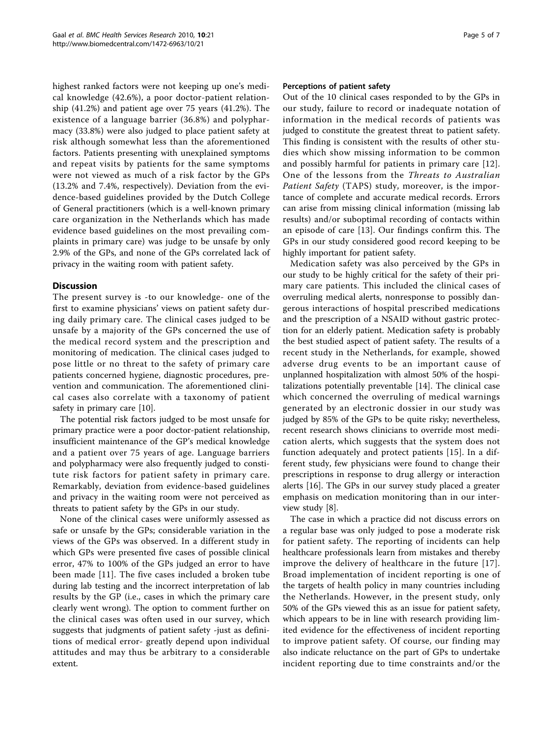highest ranked factors were not keeping up one's medical knowledge (42.6%), a poor doctor-patient relationship (41.2%) and patient age over 75 years (41.2%). The existence of a language barrier (36.8%) and polypharmacy (33.8%) were also judged to place patient safety at risk although somewhat less than the aforementioned factors. Patients presenting with unexplained symptoms and repeat visits by patients for the same symptoms were not viewed as much of a risk factor by the GPs (13.2% and 7.4%, respectively). Deviation from the evidence-based guidelines provided by the Dutch College of General practitioners (which is a well-known primary care organization in the Netherlands which has made evidence based guidelines on the most prevailing complaints in primary care) was judge to be unsafe by only 2.9% of the GPs, and none of the GPs correlated lack of privacy in the waiting room with patient safety.

## **Discussion**

The present survey is -to our knowledge- one of the first to examine physicians' views on patient safety during daily primary care. The clinical cases judged to be unsafe by a majority of the GPs concerned the use of the medical record system and the prescription and monitoring of medication. The clinical cases judged to pose little or no threat to the safety of primary care patients concerned hygiene, diagnostic procedures, prevention and communication. The aforementioned clinical cases also correlate with a taxonomy of patient safety in primary care [\[10](#page-6-0)].

The potential risk factors judged to be most unsafe for primary practice were a poor doctor-patient relationship, insufficient maintenance of the GP's medical knowledge and a patient over 75 years of age. Language barriers and polypharmacy were also frequently judged to constitute risk factors for patient safety in primary care. Remarkably, deviation from evidence-based guidelines and privacy in the waiting room were not perceived as threats to patient safety by the GPs in our study.

None of the clinical cases were uniformly assessed as safe or unsafe by the GPs; considerable variation in the views of the GPs was observed. In a different study in which GPs were presented five cases of possible clinical error, 47% to 100% of the GPs judged an error to have been made [\[11\]](#page-6-0). The five cases included a broken tube during lab testing and the incorrect interpretation of lab results by the GP (i.e., cases in which the primary care clearly went wrong). The option to comment further on the clinical cases was often used in our survey, which suggests that judgments of patient safety -just as definitions of medical error- greatly depend upon individual attitudes and may thus be arbitrary to a considerable extent.

#### Perceptions of patient safety

Out of the 10 clinical cases responded to by the GPs in our study, failure to record or inadequate notation of information in the medical records of patients was judged to constitute the greatest threat to patient safety. This finding is consistent with the results of other studies which show missing information to be common and possibly harmful for patients in primary care [[12](#page-6-0)]. One of the lessons from the Threats to Australian Patient Safety (TAPS) study, moreover, is the importance of complete and accurate medical records. Errors can arise from missing clinical information (missing lab results) and/or suboptimal recording of contacts within an episode of care [[13\]](#page-6-0). Our findings confirm this. The GPs in our study considered good record keeping to be highly important for patient safety.

Medication safety was also perceived by the GPs in our study to be highly critical for the safety of their primary care patients. This included the clinical cases of overruling medical alerts, nonresponse to possibly dangerous interactions of hospital prescribed medications and the prescription of a NSAID without gastric protection for an elderly patient. Medication safety is probably the best studied aspect of patient safety. The results of a recent study in the Netherlands, for example, showed adverse drug events to be an important cause of unplanned hospitalization with almost 50% of the hospitalizations potentially preventable [[14\]](#page-6-0). The clinical case which concerned the overruling of medical warnings generated by an electronic dossier in our study was judged by 85% of the GPs to be quite risky; nevertheless, recent research shows clinicians to override most medication alerts, which suggests that the system does not function adequately and protect patients [\[15](#page-6-0)]. In a different study, few physicians were found to change their prescriptions in response to drug allergy or interaction alerts [\[16\]](#page-6-0). The GPs in our survey study placed a greater emphasis on medication monitoring than in our interview study [\[8](#page-6-0)].

The case in which a practice did not discuss errors on a regular base was only judged to pose a moderate risk for patient safety. The reporting of incidents can help healthcare professionals learn from mistakes and thereby improve the delivery of healthcare in the future [[17\]](#page-6-0). Broad implementation of incident reporting is one of the targets of health policy in many countries including the Netherlands. However, in the present study, only 50% of the GPs viewed this as an issue for patient safety, which appears to be in line with research providing limited evidence for the effectiveness of incident reporting to improve patient safety. Of course, our finding may also indicate reluctance on the part of GPs to undertake incident reporting due to time constraints and/or the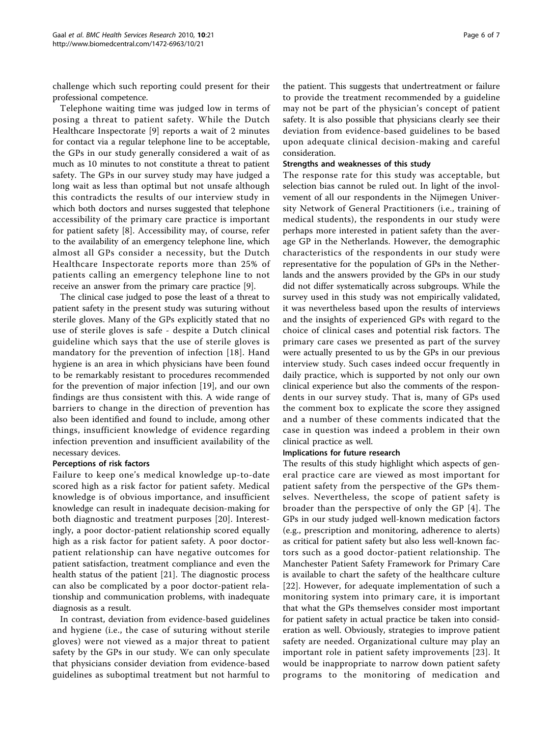challenge which such reporting could present for their professional competence.

Telephone waiting time was judged low in terms of posing a threat to patient safety. While the Dutch Healthcare Inspectorate [[9\]](#page-6-0) reports a wait of 2 minutes for contact via a regular telephone line to be acceptable, the GPs in our study generally considered a wait of as much as 10 minutes to not constitute a threat to patient safety. The GPs in our survey study may have judged a long wait as less than optimal but not unsafe although this contradicts the results of our interview study in which both doctors and nurses suggested that telephone accessibility of the primary care practice is important for patient safety [[8\]](#page-6-0). Accessibility may, of course, refer to the availability of an emergency telephone line, which almost all GPs consider a necessity, but the Dutch Healthcare Inspectorate reports more than 25% of patients calling an emergency telephone line to not receive an answer from the primary care practice [\[9](#page-6-0)].

The clinical case judged to pose the least of a threat to patient safety in the present study was suturing without sterile gloves. Many of the GPs explicitly stated that no use of sterile gloves is safe - despite a Dutch clinical guideline which says that the use of sterile gloves is mandatory for the prevention of infection [\[18\]](#page-6-0). Hand hygiene is an area in which physicians have been found to be remarkably resistant to procedures recommended for the prevention of major infection [\[19](#page-6-0)], and our own findings are thus consistent with this. A wide range of barriers to change in the direction of prevention has also been identified and found to include, among other things, insufficient knowledge of evidence regarding infection prevention and insufficient availability of the necessary devices.

#### Perceptions of risk factors

Failure to keep one's medical knowledge up-to-date scored high as a risk factor for patient safety. Medical knowledge is of obvious importance, and insufficient knowledge can result in inadequate decision-making for both diagnostic and treatment purposes [[20](#page-6-0)]. Interestingly, a poor doctor-patient relationship scored equally high as a risk factor for patient safety. A poor doctorpatient relationship can have negative outcomes for patient satisfaction, treatment compliance and even the health status of the patient [\[21\]](#page-6-0). The diagnostic process can also be complicated by a poor doctor-patient relationship and communication problems, with inadequate diagnosis as a result.

In contrast, deviation from evidence-based guidelines and hygiene (i.e., the case of suturing without sterile gloves) were not viewed as a major threat to patient safety by the GPs in our study. We can only speculate that physicians consider deviation from evidence-based guidelines as suboptimal treatment but not harmful to

the patient. This suggests that undertreatment or failure to provide the treatment recommended by a guideline may not be part of the physician's concept of patient safety. It is also possible that physicians clearly see their deviation from evidence-based guidelines to be based upon adequate clinical decision-making and careful consideration.

#### Strengths and weaknesses of this study

The response rate for this study was acceptable, but selection bias cannot be ruled out. In light of the involvement of all our respondents in the Nijmegen University Network of General Practitioners (i.e., training of medical students), the respondents in our study were perhaps more interested in patient safety than the average GP in the Netherlands. However, the demographic characteristics of the respondents in our study were representative for the population of GPs in the Netherlands and the answers provided by the GPs in our study did not differ systematically across subgroups. While the survey used in this study was not empirically validated, it was nevertheless based upon the results of interviews and the insights of experienced GPs with regard to the choice of clinical cases and potential risk factors. The primary care cases we presented as part of the survey were actually presented to us by the GPs in our previous interview study. Such cases indeed occur frequently in daily practice, which is supported by not only our own clinical experience but also the comments of the respondents in our survey study. That is, many of GPs used the comment box to explicate the score they assigned and a number of these comments indicated that the case in question was indeed a problem in their own clinical practice as well.

## Implications for future research

The results of this study highlight which aspects of general practice care are viewed as most important for patient safety from the perspective of the GPs themselves. Nevertheless, the scope of patient safety is broader than the perspective of only the GP [[4](#page-6-0)]. The GPs in our study judged well-known medication factors (e.g., prescription and monitoring, adherence to alerts) as critical for patient safety but also less well-known factors such as a good doctor-patient relationship. The Manchester Patient Safety Framework for Primary Care is available to chart the safety of the healthcare culture [[22](#page-6-0)]. However, for adequate implementation of such a monitoring system into primary care, it is important that what the GPs themselves consider most important for patient safety in actual practice be taken into consideration as well. Obviously, strategies to improve patient safety are needed. Organizational culture may play an important role in patient safety improvements [\[23\]](#page-6-0). It would be inappropriate to narrow down patient safety programs to the monitoring of medication and